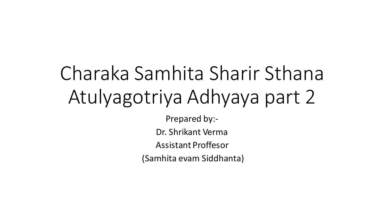# Charaka Samhita Sharir Sthana Atulyagotriya Adhyaya part 2

Prepared by:-

Dr. Shrikant Verma

Assistant Proffesor

(Samhita evam Siddhanta)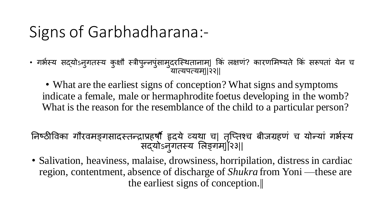# Signs of Garbhadharana:-

• गर्भस्य सद्योऽनुगतस्य कुक्षौ स्त्रीपुन्नपुसामुदरस्थितानाम्| कि लक्षण? कारणमिष्यते कि सरूपता येन च यात्यपत्यम्||२२||

• What are the earliest signs of conception? What signs and symptoms indicate a female, male or hermaphrodite foetus developing in the womb? What is the reason for the resemblance of the child to a particular person?

निष्ठीविका गौरवमङ्गसादस्तन्द्राप्रहर्षौ हृदये व्यथा च| तृप्तिश्च बीजग्रहण च योन्या गर्भस्य सद्योऽनुगतस्य लिङ्गम्]|२३||

• Salivation, heaviness, malaise, drowsiness, horripilation, distress in cardiac region, contentment, absence of discharge of *Shukra* from Yoni —these are the earliest signs of conception.||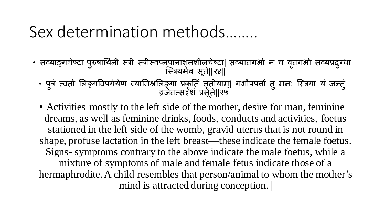# Sex determination methods……..

- सव्याङ्गचेष्टा पुरुषार्थिनी स्त्री स्त्रीस्वप्नपानाश्नशील्चेष्टा| सव्यातगर्भा न च वृत्तगर्भा सव्यप्रदुग्धा स्त्रियमेव सूते||२४||
	- पुत्रं त्वतो लिङ्गविपर्ययेण व्यामिश्रलिङ्गा प्रकृति तृतीयाम्। गर्भौपपतौ तु मनः स्त्रिया यं जन्तुं ुं व्रजेत्तत्सदृशुं प्रसूते||२५||
	- Activities mostly to the left side of the mother, desire for man, feminine dreams, as well as feminine drinks, foods, conducts and activities, foetus stationed in the left side of the womb, gravid uterus that is not round in shape, profuse lactation in the left breast—these indicate the female foetus. Signs- symptoms contrary to the above indicate the male foetus, while a mixture of symptoms of male and female fetus indicate those of a hermaphrodite. A child resembles that person/animal to whom the mother's mind is attracted during conception.||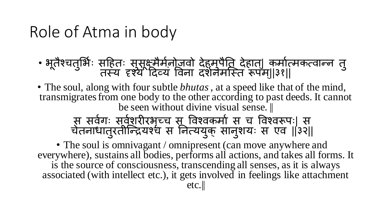# Role of Atma in body

- भूतैश्चतुर्भिः सहितः सुसूक्ष्मैर्मनोजवो देहमुपैति देहात्| कर्मात्मकत्वान्न तु तस्य दृश्ये`दिव्यं विना दशनमस्ति रूपम्||३१||
- The soul, along with four subtle *bhutas*, at a speed like that of the mind, transmigrates from one body to the other according to past deeds. It cannot be seen without divine visual sense.

स सिभगः सिभशरीरर्च् ृ च स विश्िकमाभ स च विश्िरूपः| स चेतनाधातुरतीन्द्रियश्च स नित्ययुक् सानुशयः स एव ||३२||

• The soul is omnivagant / omnipresent (can move anywhere and everywhere), sustains all bodies, performs all actions, and takes all forms. It is the source of consciousness, transcending all senses, as it is always associated (with intellect etc.), it gets involved in feelings like attachment etc.||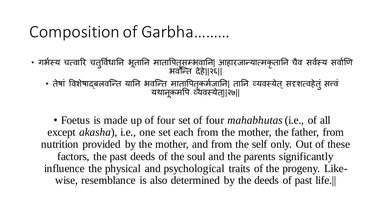# Composition of Garbha………

• गर्भस्य चत्वारि चतुर्विधानि भूतानि मातापितृसम्भवानि| आहारजान्यात्मकृतानि चैव सर्वस्य सर्वाणि भवन्ति देहे||२६|| • तेषां विशेषाद्बलवन्ति यानि भवन्ति मातापितृकर्मजानि| तानि व्यवस्येत् सदृशत्वहेतुं सत्त्वं यथानूकमपि व्यवस्येत्||२७||

• Foetus is made up of four set of four *mahabhutas*(i.e., of all except *akasha*), i.e., one set each from the mother, the father, from nutrition provided by the mother, and from the self only. Out of these factors, the past deeds of the soul and the parents significantly influence the physical and psychological traits of the progeny. Likewise, resemblance is also determined by the deeds of past life.||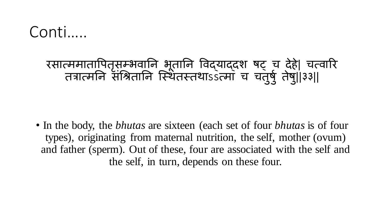### Conti…..

#### रसात्ममातापितृसम्भवानि भूतानि विद्याद्दश षट् च देहै| चत्वारि तत्रात्मनि संश्रितानि स्थितस्तथाssत्मा च चतुषु तेषु||३३||

• In the body, the *bhutas* are sixteen (each set of four *bhutas* is of four types), originating from maternal nutrition, the self, mother (ovum) and father (sperm). Out of these, four are associated with the self and the self, in turn, depends on these four.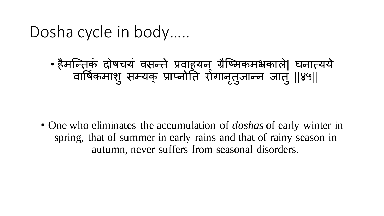## Dosha cycle in body…..

• हैमस्न्तकुं दोर्षचयुं िसन्ते प्रिाहयन् ग्रैस्ष्मकमभ्रकाले| घनात्यये वार्षिकमाशु सम्यक् प्राप्नोति रोगानृतुजान्न जातु ||४५||

• One who eliminates the accumulation of *doshas* of early winter in spring, that of summer in early rains and that of rainy season in autumn, never suffers from seasonal disorders.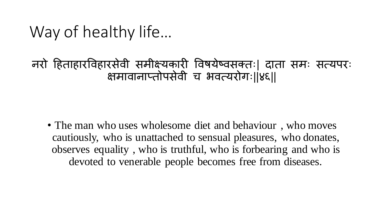# Way of healthy life…

नरो हहताहारविहारसेिी समीक्ष्यकारी विर्षयेष्िसक्तः| दाता समः सत्यपरः क्षमावानाप्तोपसेवी च भवत्यरोगः।।४६।।

• The man who uses wholesome diet and behaviour, who moves cautiously, who is unattached to sensual pleasures, who donates, observes equality , who is truthful, who is forbearing and who is devoted to venerable people becomes free from diseases.